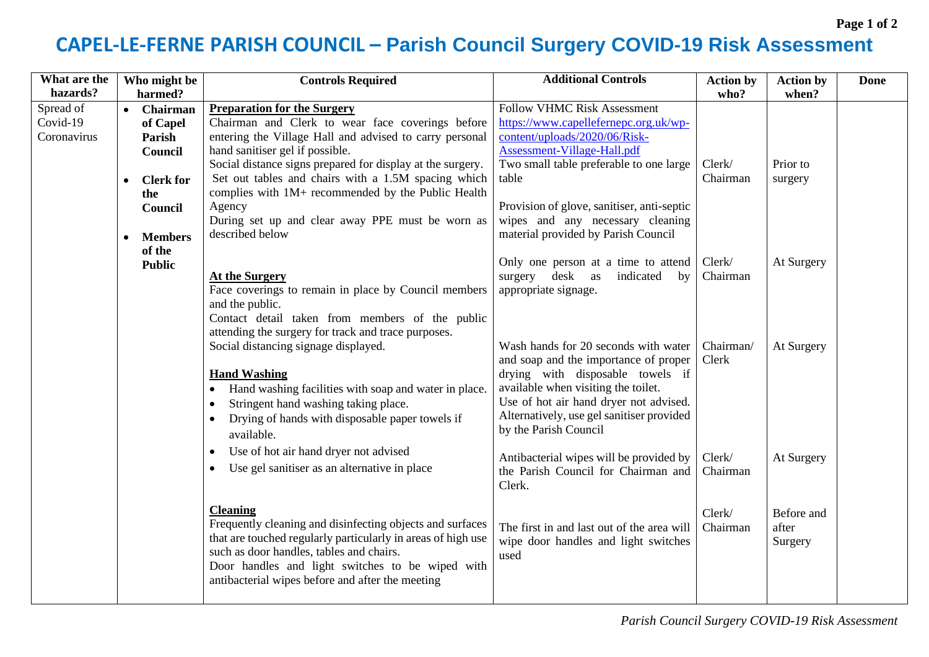## **CAPEL-LE-FERNE PARISH COUNCIL – Parish Council Surgery COVID-19 Risk Assessment**

| What are the | Who might be                 | <b>Controls Required</b>                                     | <b>Additional Controls</b>                 | <b>Action by</b> | <b>Action by</b> | <b>Done</b> |
|--------------|------------------------------|--------------------------------------------------------------|--------------------------------------------|------------------|------------------|-------------|
| hazards?     | harmed?                      |                                                              |                                            | who?             | when?            |             |
| Spread of    | <b>Chairman</b><br>$\bullet$ | <b>Preparation for the Surgery</b>                           | <b>Follow VHMC Risk Assessment</b>         |                  |                  |             |
| Covid-19     | of Capel                     | Chairman and Clerk to wear face coverings before             | https://www.capellefernepc.org.uk/wp-      |                  |                  |             |
| Coronavirus  | Parish                       | entering the Village Hall and advised to carry personal      | content/uploads/2020/06/Risk-              |                  |                  |             |
|              | Council                      | hand sanitiser gel if possible.                              | Assessment-Village-Hall.pdf                |                  |                  |             |
|              |                              | Social distance signs prepared for display at the surgery.   | Two small table preferable to one large    | Clerk/           | Prior to         |             |
|              | <b>Clerk for</b>             | Set out tables and chairs with a 1.5M spacing which          | table                                      | Chairman         | surgery          |             |
|              | the                          | complies with 1M+ recommended by the Public Health           |                                            |                  |                  |             |
|              | Council                      | Agency                                                       | Provision of glove, sanitiser, anti-septic |                  |                  |             |
|              |                              | During set up and clear away PPE must be worn as             | wipes and any necessary cleaning           |                  |                  |             |
|              | <b>Members</b>               | described below                                              | material provided by Parish Council        |                  |                  |             |
|              | of the                       |                                                              |                                            |                  |                  |             |
|              | <b>Public</b>                |                                                              | Only one person at a time to attend        | Clerk/           | At Surgery       |             |
|              |                              | At the Surgery                                               | desk as<br>indicated<br>surgery<br>by      | Chairman         |                  |             |
|              |                              | Face coverings to remain in place by Council members         | appropriate signage.                       |                  |                  |             |
|              |                              | and the public.                                              |                                            |                  |                  |             |
|              |                              | Contact detail taken from members of the public              |                                            |                  |                  |             |
|              |                              | attending the surgery for track and trace purposes.          |                                            |                  |                  |             |
|              |                              | Social distancing signage displayed.                         | Wash hands for 20 seconds with water       | Chairman/        | At Surgery       |             |
|              |                              |                                                              | and soap and the importance of proper      | Clerk            |                  |             |
|              |                              | <b>Hand Washing</b>                                          | drying with disposable towels if           |                  |                  |             |
|              |                              | Hand washing facilities with soap and water in place.        | available when visiting the toilet.        |                  |                  |             |
|              |                              | Stringent hand washing taking place.<br>$\bullet$            | Use of hot air hand dryer not advised.     |                  |                  |             |
|              |                              | Drying of hands with disposable paper towels if<br>$\bullet$ | Alternatively, use gel sanitiser provided  |                  |                  |             |
|              |                              | available.                                                   | by the Parish Council                      |                  |                  |             |
|              |                              |                                                              |                                            |                  |                  |             |
|              |                              | Use of hot air hand dryer not advised<br>$\bullet$           | Antibacterial wipes will be provided by    | Clerk/           | At Surgery       |             |
|              |                              | Use gel sanitiser as an alternative in place<br>$\bullet$    | the Parish Council for Chairman and        | Chairman         |                  |             |
|              |                              |                                                              | Clerk.                                     |                  |                  |             |
|              |                              |                                                              |                                            |                  |                  |             |
|              |                              | <b>Cleaning</b>                                              |                                            | Clerk/           | Before and       |             |
|              |                              | Frequently cleaning and disinfecting objects and surfaces    | The first in and last out of the area will | Chairman         | after            |             |
|              |                              | that are touched regularly particularly in areas of high use | wipe door handles and light switches       |                  | Surgery          |             |
|              |                              | such as door handles, tables and chairs.                     | used                                       |                  |                  |             |
|              |                              | Door handles and light switches to be wiped with             |                                            |                  |                  |             |
|              |                              | antibacterial wipes before and after the meeting             |                                            |                  |                  |             |
|              |                              |                                                              |                                            |                  |                  |             |